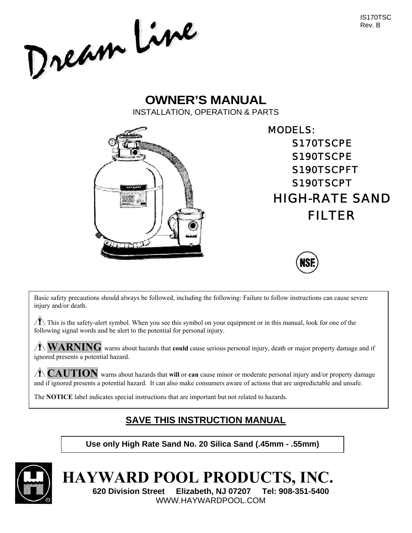IS170TSC Rev. B

Dream Line

# **OWNER'S MANUAL**  INSTALLATION, OPERATION & PARTS



MODELS: S170TSCPE S190TSCPE S190TSCPFT S190TSCPT HIGH-RATE SAND FILTER



Basic safety precautions should always be followed, including the following: Failure to follow instructions can cause severe injury and/or death.

 $\triangle$  This is the safety-alert symbol. When you see this symbol on your equipment or in this manual, look for one of the following signal words and be alert to the potential for personal injury.

**WARNING** warns about hazards that **could** cause serious personal injury, death or major property damage and if ignored presents a potential hazard.

**CAUTION** warns about hazards that **will** or **can** cause minor or moderate personal injury and/or property damage and if ignored presents a potential hazard. It can also make consumers aware of actions that are unpredictable and unsafe.

The **NOTICE** label indicates special instructions that are important but not related to hazards.

# **SAVE THIS INSTRUCTION MANUAL**

# **Use only High Rate Sand No. 20 Silica Sand (.45mm - .55mm)**



**HAYWARD POOL PRODUCTS, INC. 620 Division Street Elizabeth, NJ 07207 Tel: 908-351-5400**  WWW.HAYWARDPOOL.COM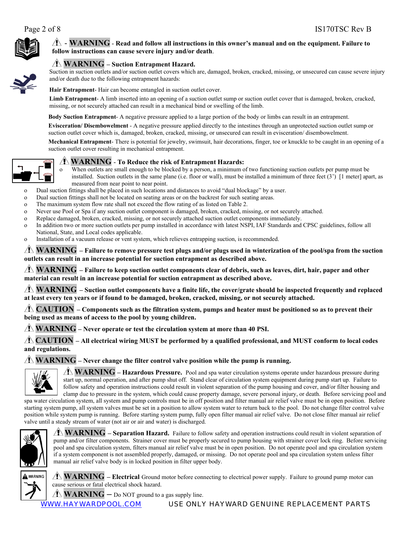

### $\hat{\Lambda}$  -  $\mathbf{WARNING}$  - Read and follow all instructions in this owner's manual and on the equipment. Failure to **follow instructions can cause severe injury and/or death**.



Suction in suction outlets and/or suction outlet covers which are, damaged, broken, cracked, missing, or unsecured can cause severe injury and/or death due to the following entrapment hazards:

**Hair Entrapment**- Hair can become entangled in suction outlet cover.

**Limb Entrapment**- A limb inserted into an opening of a suction outlet sump or suction outlet cover that is damaged, broken, cracked, missing, or not securely attached can result in a mechanical bind or swelling of the limb.

**Body Suction Entrapment**- A negative pressure applied to a large portion of the body or limbs can result in an entrapment.

**Evisceration/ Disembowelment** - A negative pressure applied directly to the intestines through an unprotected suction outlet sump or suction outlet cover which is, damaged, broken, cracked, missing, or unsecured can result in evisceration/ disembowelment.

**Mechanical Entrapment**- There is potential for jewelry, swimsuit, hair decorations, finger, toe or knuckle to be caught in an opening of a suction outlet cover resulting in mechanical entrapment.



#### **WARNING** - **To Reduce the risk of Entrapment Hazards:**

When outlets are small enough to be blocked by a person, a minimum of two functioning suction outlets per pump must be installed. Suction outlets in the same plane (i.e. floor or wall), must be installed a minimum of three feet (3') [1 meter] apart, as measured from near point to near point.

o Dual suction fittings shall be placed in such locations and distances to avoid "dual blockage" by a user.

- o Dual suction fittings shall not be located on seating areas or on the backrest for such seating areas.
- o The maximum system flow rate shall not exceed the flow rating of as listed on Table 2.
- o Never use Pool or Spa if any suction outlet component is damaged, broken, cracked, missing, or not securely attached.
- o Replace damaged, broken, cracked, missing, or not securely attached suction outlet components immediately.
- o In addition two or more suction outlets per pump installed in accordance with latest NSPI, IAF Standards and CPSC guidelines, follow all National, State, and Local codes applicable.
- o Installation of a vacuum release or vent system, which relieves entrapping suction, is recommended.

**WARNING – Failure to remove pressure test plugs and/or plugs used in winterization of the pool/spa from the suction outlets can result in an increase potential for suction entrapment as described above.**

**WARNING – Failure to keep suction outlet components clear of debris, such as leaves, dirt, hair, paper and other material can result in an increase potential for suction entrapment as described above.**

**WARNING – Suction outlet components have a finite life, the cover/grate should be inspected frequently and replaced at least every ten years or if found to be damaged, broken, cracked, missing, or not securely attached.**

**CAUTION – Components such as the filtration system, pumps and heater must be positioned so as to prevent their being used as means of access to the pool by young children.**

**WARNING – Never operate or test the circulation system at more than 40 PSI.**

**CAUTION – All electrical wiring MUST be performed by a qualified professional, and MUST conform to local codes and regulations.**

**WARNING – Never change the filter control valve position while the pump is running.**



**WARNING – Hazardous Pressure.** Pool and spa water circulation systems operate under hazardous pressure during start up, normal operation, and after pump shut off. Stand clear of circulation system equipment during pump start up. Failure to follow safety and operation instructions could result in violent separation of the pump housing and cover, and/or filter housing and clamp due to pressure in the system, which could cause property damage, severe personal injury, or death. Before servicing pool and

spa water circulation system, all system and pump controls must be in off position and filter manual air relief valve must be in open position. Before starting system pump, all system valves must be set in a position to allow system water to return back to the pool. Do not change filter control valve position while system pump is running. Before starting system pump, fully open filter manual air relief valve. Do not close filter manual air relief valve until a steady stream of water (not air or air and water) is discharged.



**WARNING – Separation Hazard.** Failure to follow safety and operation instructions could result in violent separation of pump and/or filter components. Strainer cover must be properly secured to pump housing with strainer cover lock ring. Before servicing pool and spa circulation system, filters manual air relief valve must be in open position. Do not operate pool and spa circulation system if a system component is not assembled properly, damaged, or missing. Do not operate pool and spa circulation system unless filter manual air relief valve body is in locked position in filter upper body.



**WARNING – Electrical** Ground motor before connecting to electrical power supply. Failure to ground pump motor can cause serious or fatal electrical shock hazard.

 $\Lambda$  **WARNING** – Do NOT ground to a gas supply line.

#### WWW.HAYWARDPOOL.COM USE ONLY HAYWARD GENUINE REPLACEMENT PARTS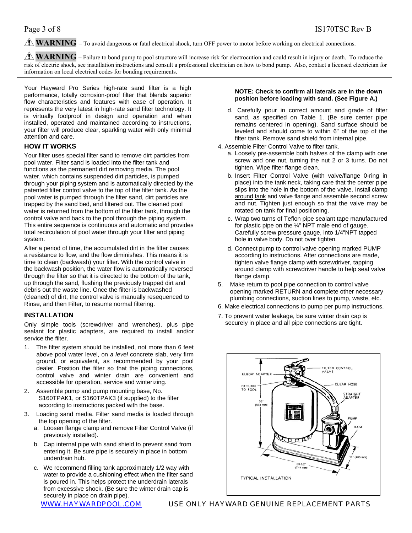**WARNING** – To avoid dangerous or fatal electrical shock, turn OFF power to motor before working on electrical connections.

**WARNING** – Failure to bond pump to pool structure will increase risk for electrocution and could result in injury or death. To reduce the risk of electric shock, see installation instructions and consult a professional electrician on how to bond pump. Also, contact a licensed electrician for information on local electrical codes for bonding requirements.

Your Hayward Pro Series high-rate sand filter is a high performance, totally corrosion-proof filter that blends superior flow characteristics and features with ease of operation. It represents the very latest in high-rate sand filter technology. It is virtually foolproof in design and operation and when installed, operated and maintained according to instructions, your filter will produce clear, sparkling water with only minimal attention and care.

#### **HOW IT WORKS**

Your filter uses special filter sand to remove dirt particles from pool water. Filter sand is loaded into the filter tank and functions as the permanent dirt removing media. The pool water, which contains suspended dirt particles, is pumped through your piping system and is automatically directed by the patented filter control valve to the top of the filter tank. As the pool water is pumped through the filter sand, dirt particles are trapped by the sand bed, and filtered out. The cleaned pool water is returned from the bottom of the filter tank, through the control valve and back to the pool through the piping system. This entire sequence is continuous and automatic and provides total recirculation of pool water through your filter and piping system.

After a period of time, the accumulated dirt in the filter causes a resistance to flow, and the flow diminishes. This means it is time to clean (backwash) your filter. With the control valve in the backwash position, the water flow is automatically reversed through the filter so that it is directed to the bottom of the tank, up through the sand, flushing the previously trapped dirt and debris out the waste line. Once the filter is backwashed (cleaned) of dirt, the control valve is manually resequenced to Rinse, and then Filter, to resume normal filtering.

#### **INSTALLATION**

Only simple tools (screwdriver and wrenches), plus pipe sealant for plastic adapters, are required to install and/or service the filter.

- 1. The filter system should be installed, not more than 6 feet above pool water level, on *a level* concrete slab, very firm ground, or equivalent, as recommended by your pool dealer. Position the filter so that the piping connections, control valve and winter drain are convenient and accessible for operation, service and winterizing.
- 2. Assemble pump and pump mounting base, No. S160TPAK1, or S160TPAK3 (if supplied) to the filter according to instructions packed with the base.
- 3. Loading sand media. Filter sand media is loaded through the top opening of the filter.
	- a. Loosen flange clamp and remove Filter Control Valve (if previously installed).
	- b. Cap internal pipe with sand shield to prevent sand from entering it. Be sure pipe is securely in place in bottom underdrain hub.
	- c. We recommend filling tank approximately 1/2 way with water to provide a cushioning effect when the filter sand is poured in. This helps protect the underdrain laterals from excessive shock. (Be sure the winter drain cap is securely in place on drain pipe).

#### **NOTE: Check to confirm all laterals are in the down position before loading with sand. (See Figure A.)**

- d. Carefully pour in correct amount and grade of filter sand, as specified on Table 1. (Be sure center pipe remains centered in opening). Sand surface should be leveled and should come to within 6" of the top of the filter tank. Remove sand shield from internal pipe.
- 4. Assemble Filter Control Valve to filter tank.
	- a. Loosely pre-assemble both halves of the clamp with one screw and one nut, turning the nut 2 or 3 turns. Do not tighten. Wipe filter flange clean.
	- b. Insert Filter Control Valve (with valve/flange 0-ring in place) into the tank neck, taking care that the center pipe slips into the hole in the bottom of the valve. Install clamp around tank and valve flange and assemble second screw and nut. Tighten just enough so that the valve may be rotated on tank for final positioning.
	- c. Wrap two turns of Teflon pipe sealant tape manufactured for plastic pipe on the  $\frac{1}{4}$ " NPT male end of gauge. Carefully screw pressure gauge, into 1/4"NPT tapped hole in valve body. Do not over tighten.
	- d. Connect pump to control valve opening marked PUMP according to instructions. After connections are made, tighten valve flange clamp with screwdriver, tapping around clamp with screwdriver handle to help seat valve flange clamp.
- 5. Make return to pool pipe connection to control valve opening marked RETURN and complete other necessary plumbing connections, suction lines to pump, waste, etc.
- 6. Make electrical connections to pump per pump instructions.
- 7. To prevent water leakage, be sure winter drain cap is securely in place and all pipe connections are tight.

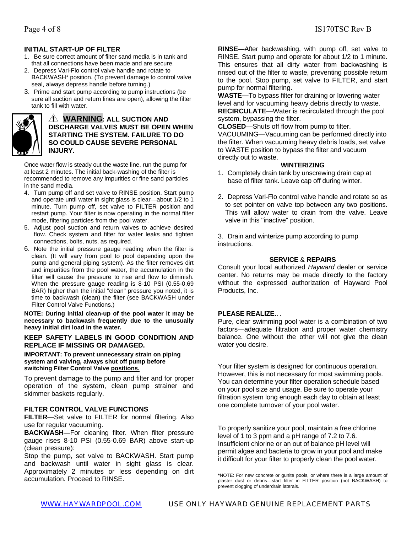- 1. Be sure correct amount of filter sand media is in tank and that all connections have been made and are secure.
- 2. Depress Vari-Flo control valve handle and rotate to BACKWASH\* position. (To prevent damage to control valve seal, always depress handle before turning.)
- 3. Prime and start pump according to pump instructions (be sure all suction and return lines are open), allowing the filter tank to fill with water.



### **WARNING: ALL SUCTION AND DISCHARGE VALVES MUST BE OPEN WHEN STARTING THE SYSTEM. FAILURE TO DO SO COULD CAUSE SEVERE PERSONAL INJURY.**

Once water flow is steady out the waste line, run the pump for at least 2 minutes. The initial back-washing of the filter is recommended to remove any impurities or fine sand particles in the sand media.

- 4. Turn pump off and set valve to RINSE position. Start pump and operate until water in sight glass is clear—about 1/2 to 1 minute. Turn pump off, set valve to FILTER position and restart pump. Your filter is now operating in the normal filter mode, filtering particles from the pool water.
- 5. Adjust pool suction and return valves to achieve desired flow. Check system and filter for water leaks and tighten connections, bolts, nuts, as required.
- 6. Note the initial pressure gauge reading when the filter is clean. (It will vary from pool to pool depending upon the pump and general piping system). As the filter removes dirt and impurities from the pool water, the accumulation in the filter will cause the pressure to rise and flow to diminish. When the pressure gauge reading is 8-10 PSI (0.55-0.69 BAR) higher than the initial "clean" pressure you noted, it is time to backwash (clean) the filter (see BACKWASH under Filter Control Valve Functions.)

**NOTE: During initial clean-up of the pool water it may be necessary to backwash frequently due to the unusually heavy initial dirt load in the water.** 

#### **KEEP SAFETY LABELS IN GOOD CONDITION AND REPLACE IF MISSING OR DAMAGED.**

**IMPORTANT: To prevent unnecessary strain on piping system and valving, always shut off pump before switching Filter Control Valve positions.**

To prevent damage to the pump and filter and for proper operation of the system, clean pump strainer and skimmer baskets regularly.

### **FILTER CONTROL VALVE FUNCTIONS**

**FILTER**—Set valve to FILTER for normal filtering. Also use for regular vacuuming.

**BACKWASH**—For cleaning filter. When filter pressure gauge rises 8-10 PSI (0.55-0.69 BAR) above start-up (clean pressure):

Stop the pump, set valve to BACKWASH. Start pump and backwash until water in sight glass is clear. Approximately 2 minutes or less depending on dirt accumulation. Proceed to RINSE.

**RINSE—**After backwashing, with pump off, set valve to RINSE. Start pump and operate for about 1/2 to 1 minute. This ensures that all dirty water from backwashing is rinsed out of the filter to waste, preventing possible return to the pool. Stop pump, set valve to FILTER, and start pump for normal filtering.

**WASTE—**To bypass filter for draining or lowering water level and for vacuuming heavy debris directly to waste. **RECIRCULATE**—Water is recirculated through the pool system, bypassing the filter.

**CLOSED**—Shuts off flow from pump to filter.

VACUUMING—Vacuuming can be performed directly into the filter. When vacuuming heavy debris loads, set valve to WASTE position to bypass the filter and vacuum directly out to waste.

#### **WINTERIZING**

- 1. Completely drain tank by unscrewing drain cap at base of filter tank. Leave cap off during winter.
- 2. Depress Vari-Flo control valve handle and rotate so as to set pointer on valve top between any two positions. This will allow water to drain from the valve. Leave valve in this "inactive" position.

3. Drain and winterize pump according to pump instructions.

#### **SERVICE** & **REPAIRS**

Consult your local authorized *Hayward* dealer or service center. No returns may be made directly to the factory without the expressed authorization of Hayward Pool Products, Inc.

### **PLEASE REALIZE.. .**

Pure, clear swimming pool water is a combination of two factors—adequate filtration and proper water chemistry balance. One without the other will not give the clean water you desire.

Your filter system is designed for continuous operation. However, this is not necessary for most swimming pools. You can determine your filter operation schedule based on your pool size and usage. Be sure to operate your filtration system long enough each day to obtain at least one complete turnover of your pool water.

To properly sanitize your pool, maintain a free chlorine level of 1 to 3 ppm and a pH range of 7.2 to 7.6. Insufficient chlorine or an out of balance pH level will permit algae and bacteria to grow in your pool and make it difficult for your filter to properly clean the pool water.

**\***NOTE: For new concrete or gunite pools, or where there is a large amount of plaster dust or debris—start filter in FILTER position (not BACKWASH) to prevent clogging of underdrain laterals.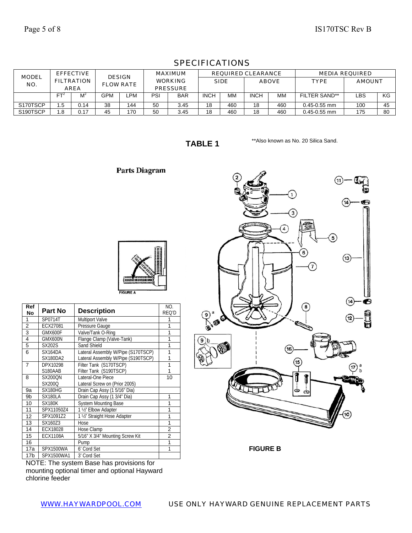| <b>MODEL</b> |     | <b>EFFECTIVE</b>                 | <b>DESIGN</b>    |     |                                   | <b>MAXIMUM</b> |             |             | <b>REQUIRED CLEARANCE</b> |     |                      | <b>MEDIA REQUIRED</b> |    |
|--------------|-----|----------------------------------|------------------|-----|-----------------------------------|----------------|-------------|-------------|---------------------------|-----|----------------------|-----------------------|----|
| NO.          |     | <b>FILTRATION</b><br><b>AREA</b> | <b>FLOW RATE</b> |     | <b>WORKING</b><br><b>PRESSURE</b> |                |             | <b>SIDE</b> | <b>ABOVE</b>              |     | <b>TYPE</b>          | <b>AMOUNT</b>         |    |
|              | FT. | $M^2$                            | <b>GPM</b>       | ∟PM | PSI                               | <b>BAR</b>     | <b>INCH</b> | MМ          | <b>INCH</b>               | МM  | <b>FILTER SAND**</b> | LBS                   | KG |
| S170TSCP     | .5  | 0.14                             | 38               | 144 | 50                                | 3.45           | 18          | 460         | 18                        | 460 | $0.45 - 0.55$ mm     | 100                   | 45 |
| S190TSCP     | .8  | 0.17                             | 45               | 170 | 50                                | 3.45           | 18          | 460         | 18                        | 460 | $0.45 - 0.55$ mm     | 175                   | 80 |

## SPECIFICATIONS

**TABLE 1** 

\*\*Also known as No. 20 Silica Sand.

Parts Diagram

| <b>FIGURE A</b> |  |
|-----------------|--|

| Ref<br><b>No</b> | Part No         | <b>Description</b>                 | NO.<br>REQ'D   |
|------------------|-----------------|------------------------------------|----------------|
| 1                | SP0714T         | <b>Multiport Valve</b>             | 1              |
| $\overline{2}$   | ECX27081        | Pressure Gauge                     | 1              |
| 3                | GMX600F         | Valve/Tank O-Ring                  | 1              |
| 4                | GMX600N         | Flange Clamp (Valve-Tank)          | 1              |
| 5                | SX202S          | Sand Shield                        | 1              |
| 6                | SX164DA         | Lateral Assembly W/Pipe (S170TSCP) | 1              |
|                  | <b>SX180DA2</b> | Lateral Assembly W/Pipe (S190TSCP) | 1              |
| $\overline{7}$   | DPX10298        | Filter Tank (S170TSCP)             | 1              |
|                  | S180AAB         | Filter Tank (S190TSCP)             | 1              |
| 8                | <b>SX200ON</b>  | Lateral-One Piece                  | 10             |
|                  | SX200O          | Lateral Screw on (Prior 2005)      |                |
| 9a               | SX180HG         | Drain Cap Assy (1 5/16" Dia)       |                |
| 9b               | <b>SX180LA</b>  | Drain Cap Assy (1 3/4" Dia)        | 1              |
| 10               | <b>SX180K</b>   | <b>System Mounting Base</b>        | 1              |
| 11               | SPX11050Z4      | 1 1/2" Elbow Adapter               | 1              |
| 12               | SPX1091Z2       | 1 1/2" Straight Hose Adapter       | 1              |
| 13               | SX160Z3         | Hose                               | 1              |
| 14               | <b>ECX18028</b> | Hose Clamp                         | $\overline{2}$ |
| 15               | <b>ECX1108A</b> | 5/16" X 3/4" Mounting Screw Kit    | $\overline{2}$ |
| 16               |                 | Pump                               | 1              |
| 17a              | SPX1500WA       | 6' Cord Set                        | 1              |
| 17 <sub>b</sub>  | SPX1500WA1      | 3' Cord Set                        |                |

NOTE: The system Base has provisions for mounting optional timer and optional Hayward chlorine feeder



**FIGURE B**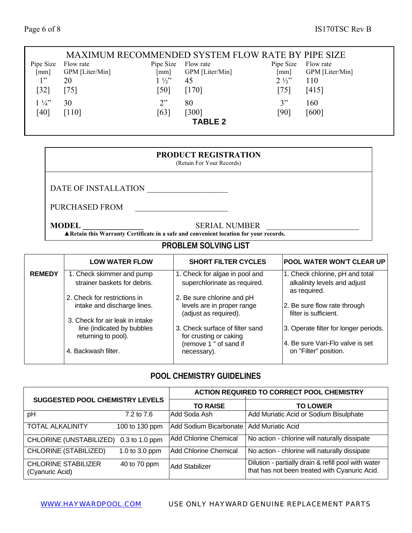#### MAXIMUM RECOMMENDED SYSTEM FLOW RATE BY PIPE SIZE Pipe Size Flow rate [mm] GPM [Liter/Min] Pipe Size Flow rate [mm] GPM [Liter/Min] Pipe Size [mm] Flow rate GPM [Liter/Min]  $1"$ [32] 20 [75]  $1\frac{1}{2}$ [50] [170] 45  $2\frac{1}{2}$ [75] 110 [415]  $1\frac{1}{4}$ [40] 30 [110]  $2"$ [63] 80 [300] 3" [90] 160 [600] **TABLE 2**

## **PRODUCT REGISTRATION**

(Retain For Your Records)

DATE OF INSTALLATION

PURCHASED FROM \_\_\_\_\_\_\_\_\_\_\_\_\_\_\_\_\_\_\_\_\_\_\_

**MODEL SERIAL NUMBER** 

**▲Retain this Warranty Certificate in a safe and convenient location for your records.**

## **PROBLEM SOLVING LIST**

|               | <b>LOW WATER FLOW</b>                                                                | <b>SHORT FILTER CYCLES</b>                                                        | <b>POOL WATER WON'T CLEAR UP</b>                                                |
|---------------|--------------------------------------------------------------------------------------|-----------------------------------------------------------------------------------|---------------------------------------------------------------------------------|
| <b>REMEDY</b> | 1. Check skimmer and pump<br>strainer baskets for debris.                            | 1. Check for algae in pool and<br>superchlorinate as required.                    | 1. Check chlorine, pH and total<br>alkalinity levels and adjust<br>as required. |
|               | 2. Check for restrictions in<br>intake and discharge lines.                          | 2. Be sure chlorine and pH<br>levels are in proper range<br>(adjust as required). | 2. Be sure flow rate through<br>filter is sufficient.                           |
|               | 3. Check for air leak in intake<br>line (indicated by bubbles<br>returning to pool). | 3. Check surface of filter sand<br>for crusting or caking                         | 3. Operate filter for longer periods.                                           |
|               | 4. Backwash filter.                                                                  | (remove 1 " of sand if<br>necessary).                                             | 4. Be sure Vari-Flo valve is set<br>on "Filter" position.                       |

## **POOL CHEMISTRY GUIDELINES**

|                                               |                  | <b>ACTION REQUIRED TO CORRECT POOL CHEMISTRY</b> |                                                                                                      |  |
|-----------------------------------------------|------------------|--------------------------------------------------|------------------------------------------------------------------------------------------------------|--|
| <b>SUGGESTED POOL CHEMISTRY LEVELS</b>        |                  | <b>TO RAISE</b>                                  | <b>TO LOWER</b>                                                                                      |  |
| pH                                            | 7.2 to 7.6       | Add Soda Ash                                     | Add Muriatic Acid or Sodium Bisulphate                                                               |  |
| <b>TOTAL ALKALINITY</b>                       | 100 to 130 ppm   | Add Sodium Bicarbonate                           | <b>Add Muriatic Acid</b>                                                                             |  |
| CHLORINE (UNSTABILIZED)                       | $0.3$ to 1.0 ppm | Add Chlorine Chemical                            | No action - chlorine will naturally dissipate                                                        |  |
| <b>CHLORINE (STABILIZED)</b>                  | 1.0 to 3.0 ppm   | <b>Add Chlorine Chemical</b>                     | No action - chlorine will naturally dissipate                                                        |  |
| <b>CHLORINE STABILIZER</b><br>(Cyanuric Acid) | 40 to 70 ppm     | Add Stabilizer                                   | Dilution - partially drain & refill pool with water<br>that has not been treated with Cyanuric Acid. |  |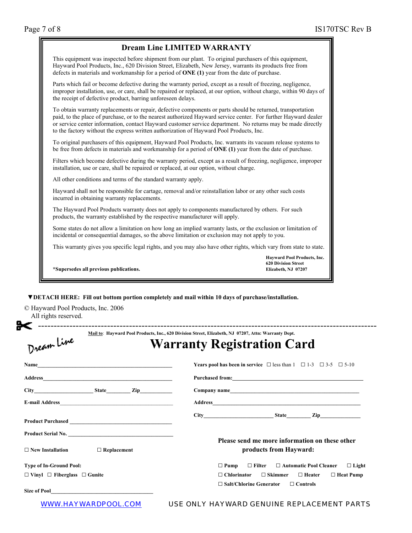| WWW.HAYWARDPOOL.COM |
|---------------------|
|---------------------|

#### USE ONLY HAYWARD GENUINE REPLACEMENT PARTS

| <b>Dream Line LIMITED WARRANTY</b>                                                                                                                                                                                                                                                                                                                                                                                                       |                                                                                  |
|------------------------------------------------------------------------------------------------------------------------------------------------------------------------------------------------------------------------------------------------------------------------------------------------------------------------------------------------------------------------------------------------------------------------------------------|----------------------------------------------------------------------------------|
| This equipment was inspected before shipment from our plant. To original purchasers of this equipment,<br>Hayward Pool Products, Inc., 620 Division Street, Elizabeth, New Jersey, warrants its products free from<br>defects in materials and workmanship for a period of $\overline{ONE}$ (1) year from the date of purchase.                                                                                                          |                                                                                  |
| Parts which fail or become defective during the warranty period, except as a result of freezing, negligence,<br>improper installation, use, or care, shall be repaired or replaced, at our option, without charge, within 90 days of<br>the receipt of defective product, barring unforeseen delays.                                                                                                                                     |                                                                                  |
| To obtain warranty replacements or repair, defective components or parts should be returned, transportation<br>paid, to the place of purchase, or to the nearest authorized Hayward service center. For further Hayward dealer<br>or service center information, contact Hayward customer service department. No returns may be made directly<br>to the factory without the express written authorization of Hayward Pool Products, Inc. |                                                                                  |
| To original purchasers of this equipment, Hayward Pool Products, Inc. warrants its vacuum release systems to<br>be free from defects in materials and workmanship for a period of $\overline{ONE}$ (1) year from the date of purchase.                                                                                                                                                                                                   |                                                                                  |
| Filters which become defective during the warranty period, except as a result of freezing, negligence, improper<br>installation, use or care, shall be repaired or replaced, at our option, without charge.                                                                                                                                                                                                                              |                                                                                  |
| All other conditions and terms of the standard warranty apply.                                                                                                                                                                                                                                                                                                                                                                           |                                                                                  |
| Hayward shall not be responsible for cartage, removal and/or reinstallation labor or any other such costs<br>incurred in obtaining warranty replacements.                                                                                                                                                                                                                                                                                |                                                                                  |
| The Hayward Pool Products warranty does not apply to components manufactured by others. For such<br>products, the warranty established by the respective manufacturer will apply.                                                                                                                                                                                                                                                        |                                                                                  |
| Some states do not allow a limitation on how long an implied warranty lasts, or the exclusion or limitation of<br>incidental or consequential damages, so the above limitation or exclusion may not apply to you.                                                                                                                                                                                                                        |                                                                                  |
| This warranty gives you specific legal rights, and you may also have other rights, which vary from state to state.                                                                                                                                                                                                                                                                                                                       |                                                                                  |
| *Supersedes all previous publications.                                                                                                                                                                                                                                                                                                                                                                                                   | Hayward Pool Products, Inc.<br><b>620 Division Street</b><br>Elizabeth, NJ 07207 |

© Haywar All rights reserved.

| ־חר<br>'lizahath<br>A ffn '<br>Produ<br>- Inc<br>7337 O.P.C<br>' Jeni |
|-----------------------------------------------------------------------|

| Dream Line                                    | Mail to: Hayward Pool Products, Inc., 620 Division Street, Elizabeth, NJ 07207, Attn: Warranty Dept.<br><b>Warranty Registration Card</b> |
|-----------------------------------------------|-------------------------------------------------------------------------------------------------------------------------------------------|
|                                               | <b>Years pool has been in service</b> $\Box$ less than $1 \Box 1-3 \Box 3-5 \Box 5-10$                                                    |
|                                               |                                                                                                                                           |
|                                               |                                                                                                                                           |
|                                               |                                                                                                                                           |
|                                               |                                                                                                                                           |
| Product Serial No.                            |                                                                                                                                           |
| $\Box$ New Installation<br>$\Box$ Replacement | Please send me more information on these other<br>products from Hayward:                                                                  |
| <b>Type of In-Ground Pool:</b>                | $\Box$ Pump $\Box$ Filter $\Box$ Automatic Pool Cleaner<br>$\Box$ Light                                                                   |
| $\Box$ Vinyl $\Box$ Fiberglass $\Box$ Gunite  | $\Box$ Skimmer<br>$\Box$ Chlorinator<br>$\Box$ Heater $\Box$ Heat Pump                                                                    |
|                                               | $\Box$ Salt/Chlorine Generator $\Box$ Controls<br>$\ldots -$                                                                              |

司